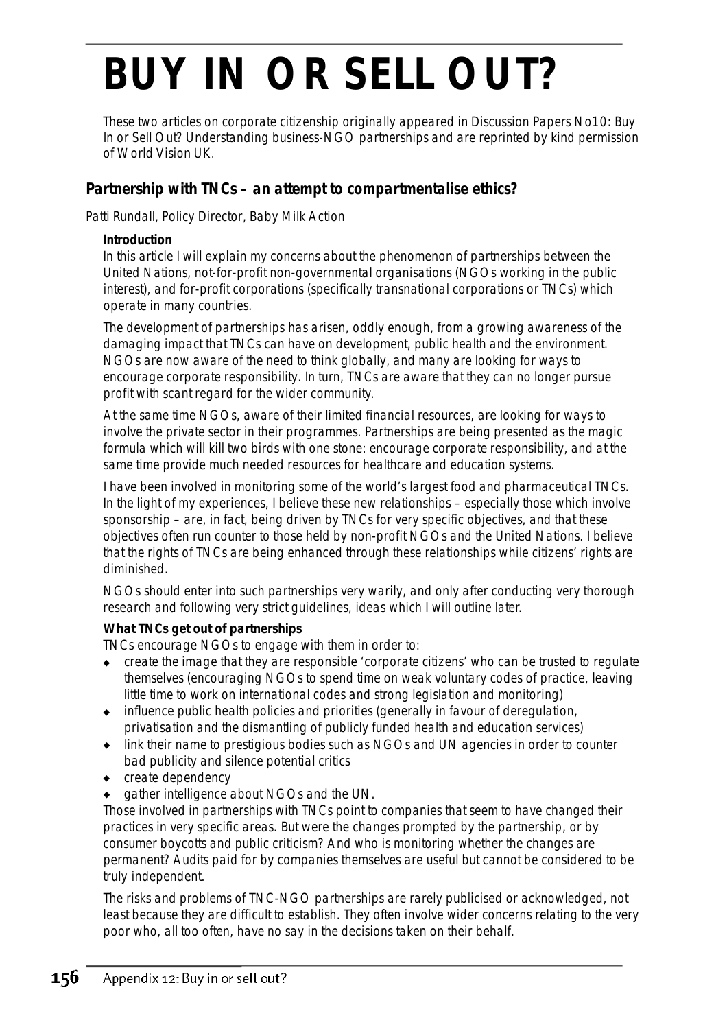# **BUY IN OR SELL OUT?**

These two articles on corporate citizenship originally appeared in *Discussion Papers No10: Buy In or Sell Out? Understanding business-NGO partnerships* and are reprinted by kind permission of World Vision UK.

# **Partnership with TNCs – an attempt to compartmentalise ethics?**

Patti Rundall, Policy Director, Baby Milk Action

#### **Introduction**

In this article I will explain my concerns about the phenomenon of partnerships between the United Nations, not-for-profit non-governmental organisations (NGOs working in the public interest), and for-profit corporations (specifically transnational corporations or TNCs) which operate in many countries.

The development of *partnerships* has arisen, oddly enough, from a growing awareness of the damaging impact that TNCs can have on development, public health and the environment. NGOs are now aware of the need to think globally, and many are looking for ways to encourage corporate responsibility. In turn, TNCs are aware that they can no longer pursue profit with scant regard for the wider community.

At the same time NGOs, aware of their limited financial resources, are looking for ways to involve the private sector in their programmes. *Partnerships* are being presented as the magic formula which will *kill two birds with one stone*: encourage corporate responsibility, and at the same time provide much needed resources for healthcare and education systems.

I have been involved in monitoring some of the world's largest food and pharmaceutical TNCs. In the light of my experiences, I believe these new relationships – especially those which involve sponsorship – are, in fact, being driven by TNCs for very specific objectives, and that these objectives often run counter to those held by non-profit NGOs and the United Nations. I believe that the rights of TNCs are being enhanced through these relationships while citizens' rights are diminished.

#### *NGOs should enter into such partnerships very warily, and only after conducting very thorough research and following very strict guidelines, ideas which I will outline later.*

### **What TNCs get out of partnerships**

TNCs encourage NGOs to engage with them in order to:

- ◆ create the image that they are responsible 'corporate citizens' who can be trusted to regulate themselves (encouraging NGOs to spend time on weak voluntary codes of practice, leaving little time to work on international codes and strong legislation and monitoring)
- ◆ influence public health policies and priorities (generally in favour of deregulation, privatisation and the dismantling of publicly funded health and education services)
- ◆ link their name to prestigious bodies such as NGOs and UN agencies in order to counter bad publicity and silence potential critics
- ◆ create dependency
- gather intelligence about NGOs and the UN.

Those involved in partnerships with TNCs point to companies that seem to have changed their practices in very specific areas. But were the changes prompted by the partnership, or by consumer boycotts and public criticism? And who is monitoring whether the changes are permanent? Audits paid for by companies themselves are useful but cannot be considered to be truly independent.

The risks and problems of TNC-NGO partnerships are rarely publicised or acknowledged, not least because they are difficult to establish. They often involve wider concerns relating to the very poor who, all too often, have no say in the decisions taken on their behalf.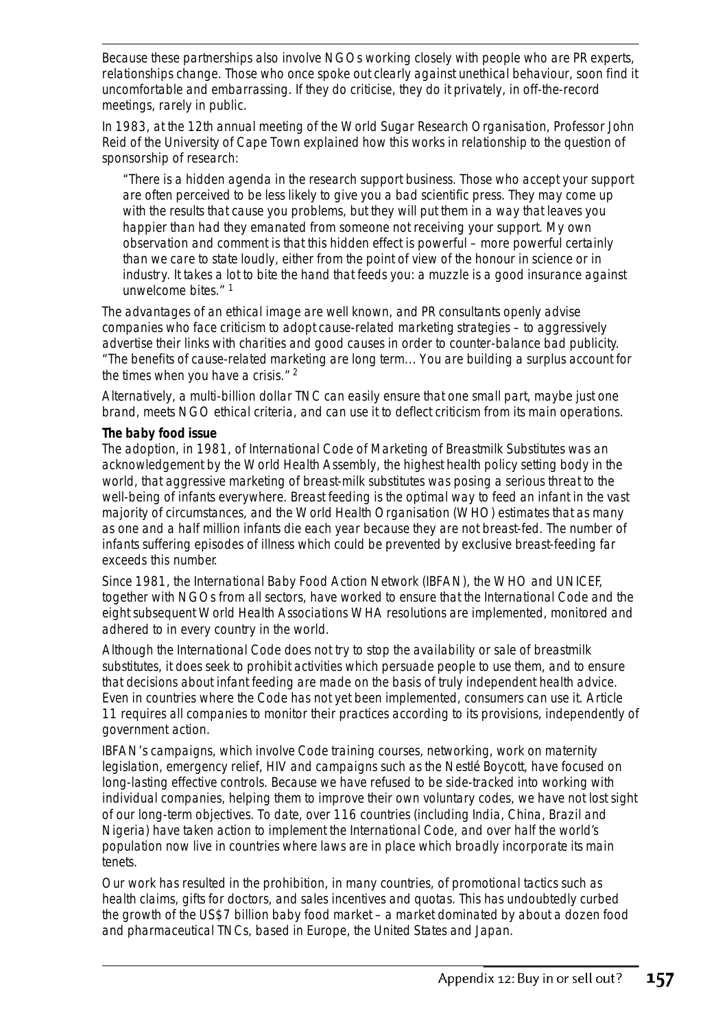Because these partnerships also involve NGOs working closely with people who are PR experts, relationships change. Those who once spoke out clearly against unethical behaviour, soon find it uncomfortable and embarrassing. If they do criticise, they do it privately, in off-the-record meetings, rarely in public.

In 1983, at the 12th annual meeting of the World Sugar Research Organisation, Professor John Reid of the University of Cape Town explained how this works in relationship to the question of sponsorship of research:

*"There is a hidden agenda in the research support business. Those who accept your support are often perceived to be less likely to give you a bad scientific press. They may come up with the results that cause you problems, but they will put them in a way that leaves you happier than had they emanated from someone not receiving your support. My own observation and comment is that this hidden effect is powerful – more powerful certainly than we care to state loudly, either from the point of view of the honour in science or in industry. It takes a lot to bite the hand that feeds you: a muzzle is a good insurance against unwelcome bites."* <sup>1</sup>

The advantages of an ethical image are well known, and PR consultants openly advise companies who face criticism to adopt *cause-related marketing* strategies – to aggressively advertise their links with charities and good causes in order to counter-balance bad publicity. "The benefits of cause-related marketing are long term... You are building a surplus account for the times when you have a crisis."  $2^{\circ}$ 

Alternatively, a multi-billion dollar TNC can easily ensure that one small part, maybe just one brand, meets NGO ethical criteria, and can use it to deflect criticism from its main operations.

#### **The baby food issue**

The adoption, in 1981, of International Code of Marketing of Breastmilk Substitutes was an acknowledgement by the World Health Assembly, the highest health policy setting body in the world, that aggressive marketing of breast-milk substitutes was posing a serious threat to the well-being of infants everywhere. Breast feeding is the optimal way to feed an infant in the vast majority of circumstances, and the World Health Organisation (WHO) estimates that as many as one and a half million infants die each year because they are not breast-fed. The number of infants suffering episodes of illness which could be prevented by exclusive breast-feeding far exceeds this number.

Since 1981, the International Baby Food Action Network (IBFAN), the WHO and UNICEF, together with NGOs from all sectors, have worked to ensure that the International Code and the eight subsequent World Health Associations WHA resolutions are implemented, monitored and adhered to in every country in the world.

Although the International Code does not try to stop the availability or sale of breastmilk substitutes, it does seek to prohibit activities which persuade people to use them, and to ensure that decisions about infant feeding are made on the basis of truly independent health advice. Even in countries where the Code has not yet been implemented, consumers can use it. Article 11 requires all companies to monitor their practices according to its provisions, independently of government action.

IBFAN's campaigns, which involve Code training courses, networking, work on maternity legislation, emergency relief, HIV and campaigns such as the Nestlé Boycott, have focused on long-lasting effective controls. Because we have refused to be side-tracked into working with individual companies, helping them to improve their own voluntary codes, we have not lost sight of our long-term objectives. To date, over 116 countries (including India, China, Brazil and Nigeria) have taken action to implement the International Code, and over half the world's population now live in countries where laws are in place which broadly incorporate its main tenets.

Our work has resulted in the prohibition, in many countries, of promotional tactics such as health claims, gifts for doctors, and sales incentives and quotas. This has undoubtedly curbed the growth of the US\$7 billion baby food market – a market dominated by about a dozen food and pharmaceutical TNCs, based in Europe, the United States and Japan.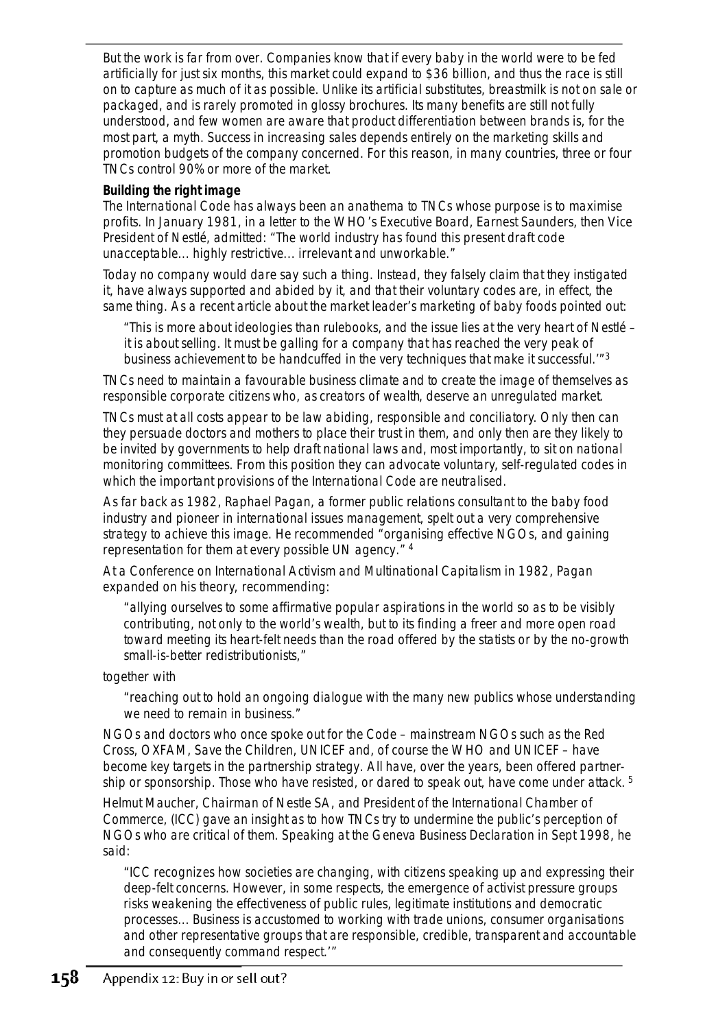But the work is far from over. Companies know that if every baby in the world were to be fed artificially for just six months, this market could expand to \$36 billion, and thus the race is still on to capture as much of it as possible. Unlike its artificial substitutes, breastmilk is not on sale or packaged, and is rarely promoted in glossy brochures. Its many benefits are still not fully understood, and few women are aware that product differentiation between brands is, for the most part, a myth. Success in increasing sales depends entirely on the marketing skills and promotion budgets of the company concerned. For this reason, in many countries, three or four TNCs control 90% or more of the market.

# **Building the right image**

The International Code has always been an anathema to TNCs whose purpose is to maximise profits. In January 1981, in a letter to the WHO's Executive Board, Earnest Saunders, then Vice President of Nestlé, admitted: "The world industry has found this present draft code unacceptable... highly restrictive... irrelevant and unworkable."

Today no company would dare say such a thing. Instead, they falsely claim that they instigated it, have always supported and abided by it, and that their voluntary codes are, in effect, the same thing. As a recent article about the market leader's marketing of baby foods pointed out:

*"This is more about ideologies than rulebooks, and the issue lies at the very heart of Nestlé – it is about selling. It must be galling for a company that has reached the very peak of business achievement to be handcuffed in the very techniques that make it successful.'*" 3

TNCs need to maintain a favourable business climate and to create the image of themselves as responsible *corporate citizens* who, as *creators of wealth*, deserve an unregulated market.

TNCs must at all costs appear to be law abiding, responsible and conciliatory. Only then can they persuade doctors and mothers to place their trust in them, and only then are they likely to be invited by governments to help draft national laws and, most importantly, to sit on national monitoring committees. From this position they can advocate voluntary, self-regulated codes in which the important provisions of the International Code are neutralised.

As far back as 1982, Raphael Pagan, a former public relations consultant to the baby food industry and pioneer in international issues management, spelt out a very comprehensive strategy to achieve this image. He recommended "organising effective NGOs, and gaining representation for them at every possible UN agency." <sup>4</sup>

At a Conference on International Activism and Multinational Capitalism in 1982, Pagan expanded on his theory, recommending:

*"allying ourselves to some affirmative popular aspirations in the world so as to be visibly contributing, not only to the world's wealth, but to its finding a freer and more open road toward meeting its heart-felt needs than the road offered by the statists or by the no-growth small-is-better redistributionists,"*

together with

*"reaching out to hold an ongoing dialogue with the many new publics whose understanding we need to remain in business."* 

NGOs and doctors who once spoke out for the Code – mainstream NGOs such as the Red Cross, OXFAM, Save the Children, UNICEF and, of course the WHO and UNICEF – have become key targets in the partnership strategy. All have, over the years, been offered partnership or sponsorship. Those who have resisted, or dared to speak out, have come under attack. <sup>5</sup>

Helmut Maucher, Chairman of Nestle SA, and President of the International Chamber of Commerce, (ICC) gave an insight as to how TNCs try to undermine the public's perception of NGOs who are critical of them. Speaking at the Geneva Business Declaration in Sept 1998, he said:

*"ICC recognizes how societies are changing, with citizens speaking up and expressing their deep-felt concerns. However, in some respects, the emergence of activist pressure groups risks weakening the effectiveness of public rules, legitimate institutions and democratic processes... Business is accustomed to working with trade unions, consumer organisations and other representative groups that are responsible, credible, transparent and accountable and consequently command respect.'"*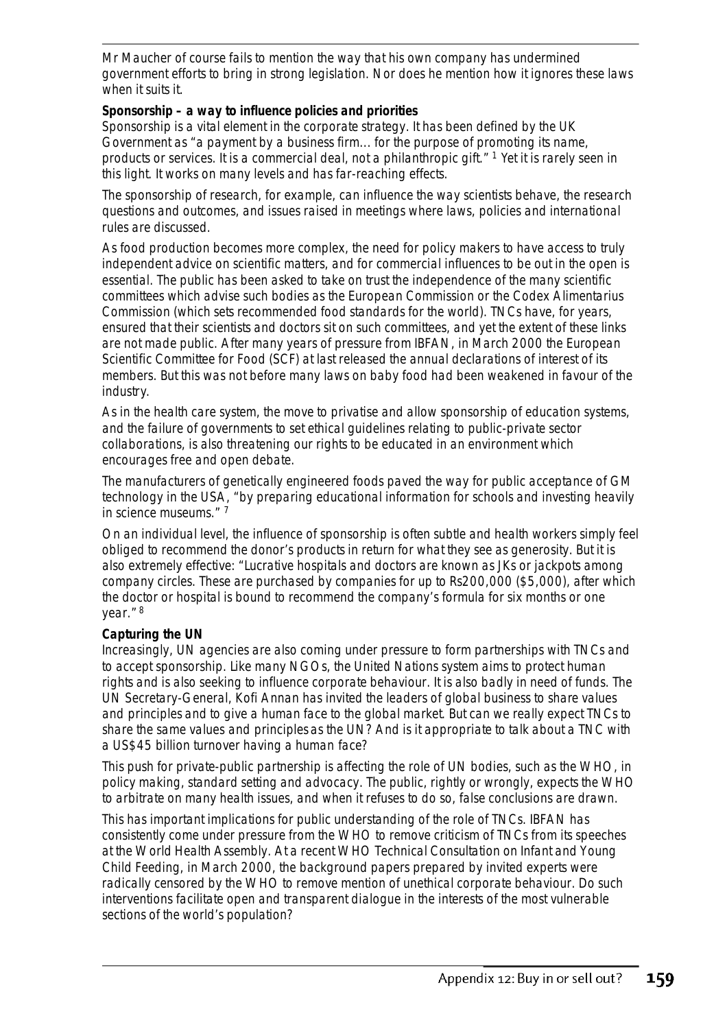Mr Maucher of course fails to mention the way that his own company has undermined government efforts to bring in strong legislation. Nor does he mention how it ignores these laws when it suits it.

### **Sponsorship – a way to influence policies and priorities**

Sponsorship is a vital element in the corporate strategy. It has been defined by the UK Government as "a payment by a business firm... for the purpose of promoting its name, products or services. It is a commercial deal, not a philanthropic gift." <sup>1</sup> Yet it is rarely seen in this light. It works on many levels and has far-reaching effects.

The sponsorship of research, for example, can influence the way scientists behave, the research questions and outcomes, and issues raised in meetings where laws, policies and international rules are discussed.

As food production becomes more complex, the need for policy makers to have access to truly independent advice on scientific matters, and for commercial influences to be out in the open is essential. The public has been asked to take on trust the independence of the many scientific committees which advise such bodies as the European Commission or the Codex Alimentarius Commission (which sets recommended food standards for the world). TNCs have, for years, ensured that their scientists and doctors sit on such committees, and yet the extent of these links are not made public. After many years of pressure from IBFAN, in March 2000 the European Scientific Committee for Food (SCF) at last released the annual declarations of interest of its members. But this was not before many laws on baby food had been weakened in favour of the industry.

As in the health care system, the move to privatise and allow sponsorship of education systems, and the failure of governments to set ethical guidelines relating to public-private sector collaborations, is also threatening our rights to be educated in an environment which encourages free and open debate.

The manufacturers of genetically engineered foods paved the way for public acceptance of GM technology in the USA, "by preparing educational information for schools and investing heavily in science museums." <sup>7</sup>

On an individual level, the influence of sponsorship is often subtle and health workers simply feel obliged to recommend the donor's products in return for what they see as generosity. But it is also extremely effective: "Lucrative hospitals and doctors are known as JKs or jackpots among company circles. These are purchased by companies for up to Rs200,000 (\$5,000), after which the doctor or hospital is bound to recommend the company's formula for six months or one year." <sup>8</sup>

#### **Capturing the UN**

Increasingly, UN agencies are also coming under pressure to form partnerships with TNCs and to accept sponsorship. Like many NGOs, the United Nations system aims to protect human rights and is also seeking to influence corporate behaviour. It is also badly in need of funds. The UN Secretary-General, Kofi Annan has invited the leaders of global business to share *values and principles* and to give a *human face to the global market*. But can we really expect TNCs to share the same *values and principles* as the UN? And is it appropriate to talk about a TNC with a US\$45 billion turnover having a *human face*?

This push for private-public partnership is affecting the role of UN bodies, such as the WHO, in policy making, standard setting and advocacy. The public, rightly or wrongly, expects the WHO to arbitrate on many health issues, and when it refuses to do so, false conclusions are drawn.

This has important implications for public understanding of the role of TNCs. IBFAN has consistently come under pressure from the WHO to remove criticism of TNCs from its speeches at the World Health Assembly. At a recent WHO Technical Consultation on Infant and Young Child Feeding, in March 2000, the background papers prepared by invited experts were radically censored by the WHO to remove mention of unethical corporate behaviour. Do such interventions facilitate open and transparent dialogue in the interests of the most vulnerable sections of the world's population?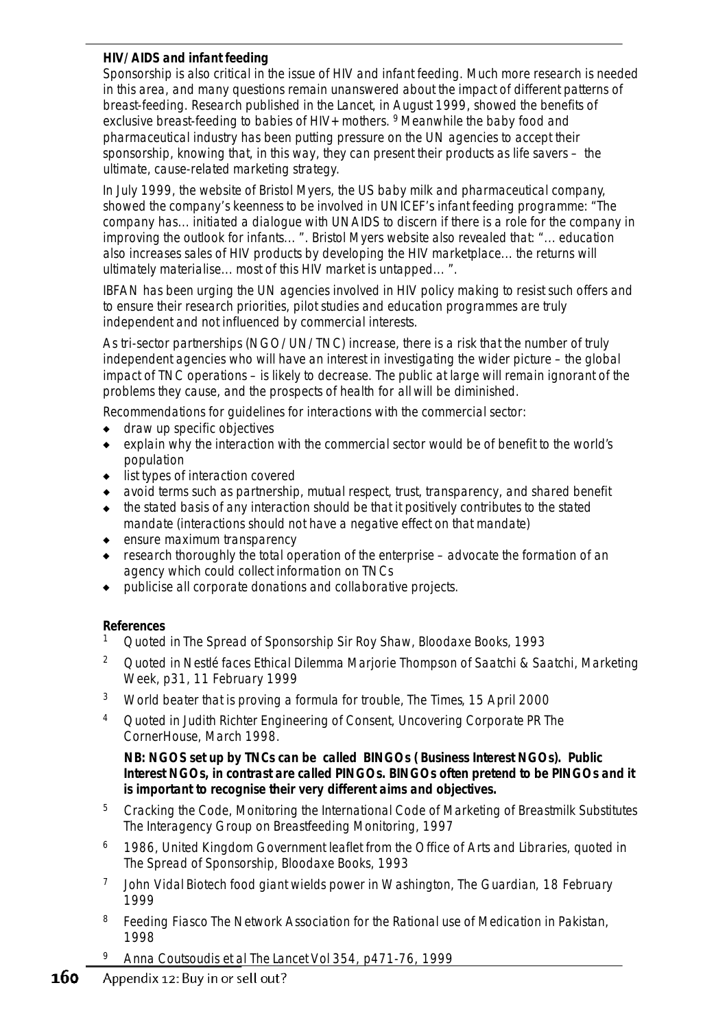# **HIV/AIDS and infant feeding**

Sponsorship is also critical in the issue of HIV and infant feeding. Much more research is needed in this area, and many questions remain unanswered about the impact of different patterns of breast-feeding. Research published in the *Lancet*, in August 1999, showed the benefits of exclusive breast-feeding to babies of HIV+ mothers. <sup>9</sup> Meanwhile the baby food and pharmaceutical industry has been putting pressure on the UN agencies to accept their sponsorship, knowing that, in this way, they can present their products as life savers – the ultimate, cause-related marketing strategy.

In July 1999, the website of Bristol Myers, the US baby milk and pharmaceutical company, showed the company's keenness to be involved in UNICEF's infant feeding programme: "The company has... initiated a dialogue with UNAIDS to discern if there is a role for the company in improving the outlook for infants... ". Bristol Myers website also revealed that: "... education also increases sales of HIV products by developing the HIV marketplace... the returns will ultimately materialise... most of this HIV market is untapped... ".

IBFAN has been urging the UN agencies involved in HIV policy making to resist such offers and to ensure their research priorities, pilot studies and education programmes are truly independent and not influenced by commercial interests.

As tri-sector partnerships (NGO/UN/TNC) increase, there is a risk that the number of truly independent agencies who will have an interest in investigating the wider picture – the global impact of TNC operations – is likely to decrease. The public at large will remain ignorant of the problems they cause, and the prospects of *health for all* will be diminished.

Recommendations for guidelines for interactions with the commercial sector:

- draw up specific objectives
- explain why the interaction with the commercial sector would be of benefit to the world's population
- ◆ list types of interaction covered
- avoid terms such as partnership, mutual respect, trust, transparency, and shared benefit
- the stated basis of any interaction should be that it positively contributes to the stated mandate (interactions should not have a negative effect on that mandate)
- ◆ ensure maximum transparency
- ◆ research thoroughly the total operation of the enterprise advocate the formation of an agency which could collect information on TNCs
- publicise all corporate donations and collaborative projects.

# **References**

- <sup>1</sup> Quoted in *The Spread of Sponsorship* Sir Roy Shaw, Bloodaxe Books, 1993
- <sup>2</sup> Quoted in *Nestlé faces Ethical Dilemma* Marjorie Thompson of Saatchi & Saatchi, *Marketing Week*, p31, 11 February 1999
- <sup>3</sup> *World beater that is proving a formula for trouble*, *The Times*, 15 April 2000
- <sup>4</sup> Quoted in Judith Richter *Engineering of Consent, Uncovering Corporate PR* The CornerHouse, March 1998.

*NB: NGOS set up by TNCs can be called BINGOs ( Business Interest NGOs). Public Interest NGOs, in contrast are called PINGOs. BINGOs often pretend to be PINGOs and it is important to recognise their very different aims and objectives.*

- <sup>5</sup> *Cracking the Code, Monitoring the International Code of Marketing of Breastmilk Substitutes* The Interagency Group on Breastfeeding Monitoring, 1997
- <sup>6</sup> 1986, United Kingdom Government leaflet from the Office of Arts and Libraries, quoted in *The Spread of Sponsorship*, Bloodaxe Books, 1993
- 7 John Vidal *Biotech food giant wields power in Washington, The Guardian*, 18 February 1999
- <sup>8</sup> *Feeding Fiasco* The Network Association for the Rational use of Medication in Pakistan, 1998
- <sup>9</sup> Anna Coutsoudis et al *The Lancet Vol 354*, p471-76, 1999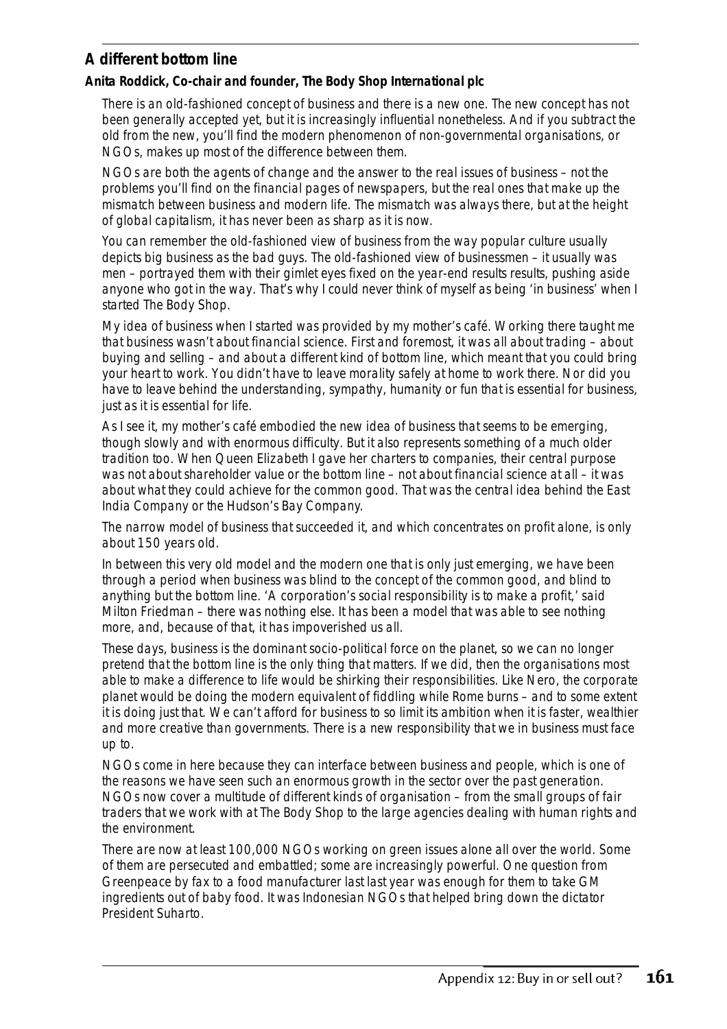# **A different bottom line**

# **Anita Roddick, Co-chair and founder, The Body Shop International plc**

There is an old-fashioned concept of business and there is a new one. The new concept has not been generally accepted yet, but it is increasingly influential nonetheless. And if you subtract the old from the new, you'll find the modern phenomenon of non-governmental organisations, or NGOs, makes up most of the difference between them.

NGOs are both the agents of change and the answer to the real issues of business – not the problems you'll find on the financial pages of newspapers, but the real ones that make up the mismatch between business and modern life. The mismatch was always there, but at the height of global capitalism, it has never been as sharp as it is now.

You can remember the old-fashioned view of business from the way popular culture usually depicts big business as the bad guys. The old-fashioned view of businessmen – it usually was men – portrayed them with their gimlet eyes fixed on the year-end results results, pushing aside anyone who got in the way. That's why I could never think of myself as being 'in business' when I started The Body Shop.

My idea of business when I started was provided by my mother's café. Working there taught me that business wasn't about financial science. First and foremost, it was all about trading – about buying and selling – and about a different kind of bottom line, which meant that you could bring your heart to work. You didn't have to leave morality safely at home to work there. Nor did you have to leave behind the understanding, sympathy, humanity or fun that is essential for business, just as it is essential for life.

As I see it, my mother's café embodied the new idea of business that seems to be emerging, though slowly and with enormous difficulty. But it also represents something of a much older tradition too. When Queen Elizabeth I gave her charters to companies, their central purpose was not about shareholder value or the bottom line – not about financial science at all – it was about what they could achieve for the common good. That was the central idea behind the East India Company or the Hudson's Bay Company.

The narrow model of business that succeeded it, and which concentrates on profit alone, is only about 150 years old.

In between this very old model and the modern one that is only just emerging, we have been through a period when business was blind to the concept of the common good, and blind to anything but the bottom line. 'A corporation's social responsibility is to make a profit,' said Milton Friedman – there was nothing else. It has been a model that was able to see nothing more, and, because of that, it has impoverished us all.

*These days, business is the dominant socio-political force on the planet, so we can no longer pretend that the bottom line is the only thing that matters*. If we did, then the organisations most able to make a difference to life would be shirking their responsibilities. Like Nero, the corporate planet would be doing the modern equivalent of fiddling while Rome burns – and to some extent it is doing just that. We can't afford for business to so limit its ambition when it is faster, wealthier and more creative than governments. There is a new responsibility that we in business must face up to.

NGOs come in here because they can interface between business and people, which is one of the reasons we have seen such an enormous growth in the sector over the past generation. NGOs now cover a multitude of different kinds of organisation – from the small groups of fair traders that we work with at The Body Shop to the large agencies dealing with human rights and the environment.

There are now at least 100,000 NGOs working on green issues alone all over the world. Some of them are persecuted and embattled; some are increasingly powerful. One question from Greenpeace by fax to a food manufacturer last last year was enough for them to take GM ingredients out of baby food. It was Indonesian NGOs that helped bring down the dictator President Suharto.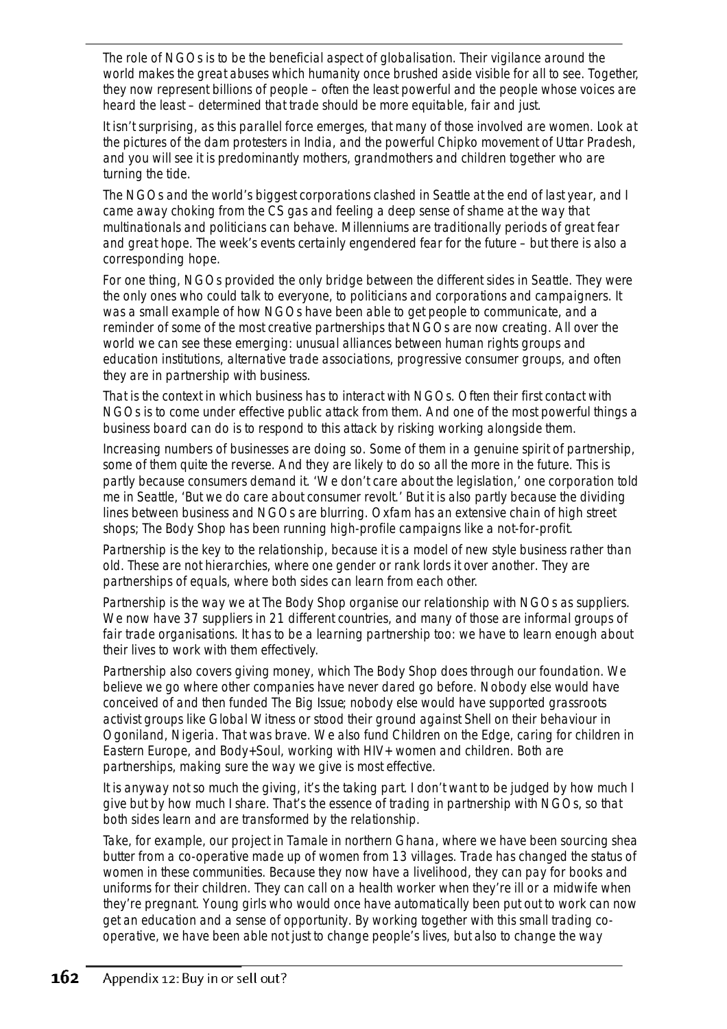*The role of NGOs is to be the beneficial aspect of globalisation*. Their vigilance around the world makes the great abuses which humanity once brushed aside visible for all to see. Together, they now represent billions of people – often the least powerful and the people whose voices are heard the least – determined that trade should be more equitable, fair and just.

It isn't surprising, as this parallel force emerges, that many of those involved are women. Look at the pictures of the dam protesters in India, and the powerful Chipko movement of Uttar Pradesh, and you will see it is predominantly mothers, grandmothers and children together who are turning the tide.

The NGOs and the world's biggest corporations clashed in Seattle at the end of last year, and I came away choking from the CS gas and feeling a deep sense of shame at the way that multinationals and politicians can behave. Millenniums are traditionally periods of great fear and great hope. The week's events certainly engendered fear for the future – but there is also a corresponding hope.

For one thing, NGOs provided the only bridge between the different sides in Seattle. They were the only ones who could talk to everyone, to politicians and corporations and campaigners. It was a small example of how NGOs have been able to get people to communicate, and a reminder of some of the most creative partnerships that NGOs are now creating. All over the world we can see these emerging: unusual alliances between human rights groups and education institutions, alternative trade associations, progressive consumer groups, and often they are in partnership with business.

That is the context in which business has to interact with NGOs. Often their first contact with NGOs is to come under effective public attack from them. And one of the most powerful things a business board can do is to respond to this attack by risking working alongside them.

Increasing numbers of businesses are doing so. Some of them in a genuine spirit of partnership, some of them quite the reverse. And they are likely to do so all the more in the future. This is partly because consumers demand it. 'We don't care about the legislation,' one corporation told me in Seattle, 'But we do care about consumer revolt.' But it is also partly because the dividing lines between business and NGOs are blurring. Oxfam has an extensive chain of high street shops; The Body Shop has been running high-profile campaigns like a not-for-profit.

*Partnership is the key to the relationship*, because it is a model of new style business rather than old. These are not hierarchies, where one gender or rank lords it over another. They are partnerships of equals, where both sides can learn from each other.

Partnership is the way we at The Body Shop organise our relationship with NGOs as suppliers. We now have 37 suppliers in 21 different countries, and many of those are informal groups of fair trade organisations. It has to be a learning partnership too: we have to learn enough about their lives to work with them effectively.

Partnership also covers giving money, which The Body Shop does through our foundation. We believe we go where other companies have never dared go before. Nobody else would have conceived of and then funded *The Big Issue*; nobody else would have supported grassroots activist groups like Global Witness or stood their ground against Shell on their behaviour in Ogoniland, Nigeria. That was brave. We also fund Children on the Edge, caring for children in Eastern Europe, and Body+Soul, working with HIV+ women and children. Both are partnerships, making sure the way we give is most effective.

It is anyway not so much the giving, it's the taking part. *I don't want to be judged by how much I give but by how much I share*. That's the essence of trading in partnership with NGOs, so that both sides learn and are transformed by the relationship.

Take, for example, our project in Tamale in northern Ghana, where we have been sourcing shea butter from a co-operative made up of women from 13 villages. Trade has changed the status of women in these communities. Because they now have a livelihood, they can pay for books and uniforms for their children. They can call on a health worker when they're ill or a midwife when they're pregnant. Young girls who would once have automatically been put out to work can now get an education and a sense of opportunity. By working together with this small trading cooperative, we have been able not just to change people's lives, but also to change the way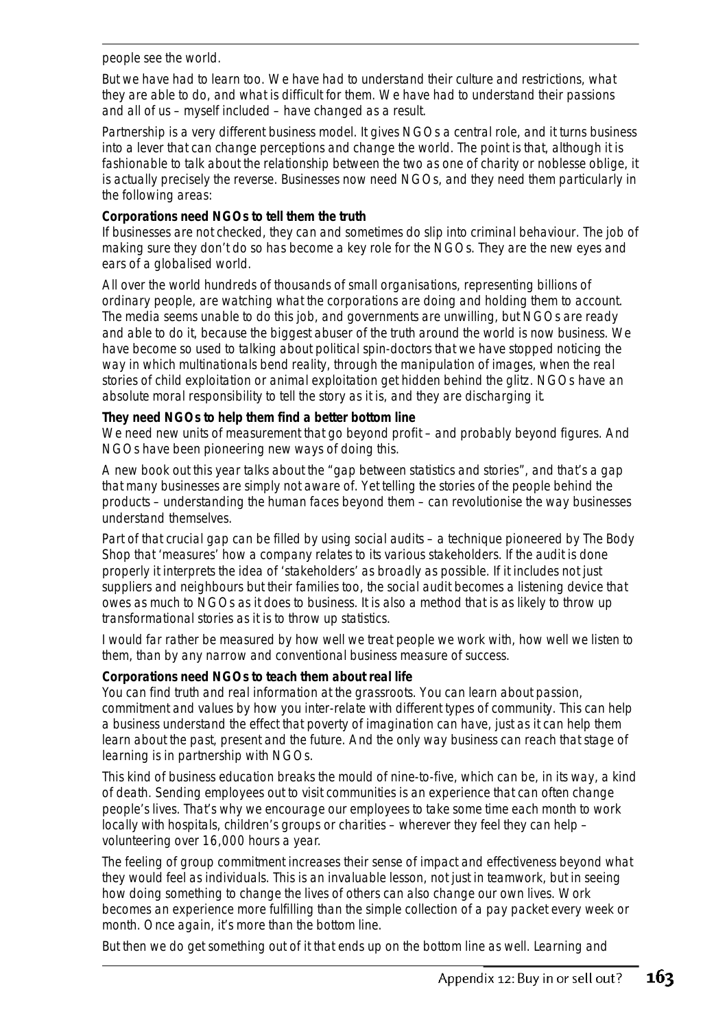people see the world.

But we have had to learn too. We have had to understand their culture and restrictions, what they are able to do, and what is difficult for them. We have had to understand their passions and all of us – myself included – have changed as a result.

*Partnership is a very different business model. It gives NGOs a central role, and it turns business into a lever that can change perceptions and change the world*. The point is that, although it is fashionable to talk about the relationship between the two as one of charity or noblesse oblige, it is actually precisely the reverse. Businesses now need NGOs, and they need them particularly in the following areas:

### **Corporations need NGOs to tell them the truth**

If businesses are not checked, they can and sometimes do slip into criminal behaviour. The job of making sure they don't do so has become a key role for the NGOs. They are the new eyes and ears of a globalised world.

All over the world hundreds of thousands of small organisations, representing billions of ordinary people, are watching what the corporations are doing and holding them to account. The media seems unable to do this job, and governments are unwilling, but NGOs are ready and able to do it, because the biggest abuser of the truth around the world is now business. We have become so used to talking about political spin-doctors that we have stopped noticing the way in which multinationals bend reality, through the manipulation of images, when the real stories of child exploitation or animal exploitation get hidden behind the glitz. *NGOs have an absolute moral responsibility to tell the story as it is, and they are discharging it*.

### **They need NGOs to help them find a better bottom line**

We need new units of measurement that go beyond profit – and probably beyond figures. And NGOs have been pioneering new ways of doing this.

A new book out this year talks about the "gap between statistics and stories", and that's a gap that many businesses are simply not aware of. Yet telling the stories of the people behind the products – understanding the human faces beyond them – can revolutionise the way businesses understand themselves.

Part of that crucial gap can be filled by using social audits – a technique pioneered by The Body Shop that 'measures' how a company relates to its various stakeholders. If the audit is done properly it interprets the idea of 'stakeholders' as broadly as possible. If it includes not just suppliers and neighbours but their families too, the social audit becomes a listening device that owes as much to NGOs as it does to business. It is also a method that is as likely to throw up transformational stories as it is to throw up statistics.

I would far rather be measured by how well we treat people we work with, how well we listen to them, than by any narrow and conventional business measure of success.

### **Corporations need NGOs to teach them about real life**

You can find truth and real information at the grassroots. You can learn about passion, commitment and values by how you inter-relate with different types of community. This can help a business understand the effect that poverty of imagination can have, just as it can help them learn about the past, present and the future. And the only way business can reach that stage of learning is in partnership with NGOs.

This kind of business education breaks the mould of nine-to-five, which can be, in its way, a kind of death. Sending employees out to visit communities is an experience that can often change people's lives. That's why we encourage our employees to take some time each month to work locally with hospitals, children's groups or charities – wherever they feel they can help – volunteering over 16,000 hours a year.

The feeling of group commitment increases their sense of impact and effectiveness beyond what they would feel as individuals. This is an invaluable lesson, not just in teamwork, but in seeing how doing something to change the lives of others can also change our own lives. Work becomes an experience more fulfilling than the simple collection of a pay packet every week or month. Once again, it's more than the bottom line.

But then we do get something out of it that ends up on the bottom line as well. Learning and